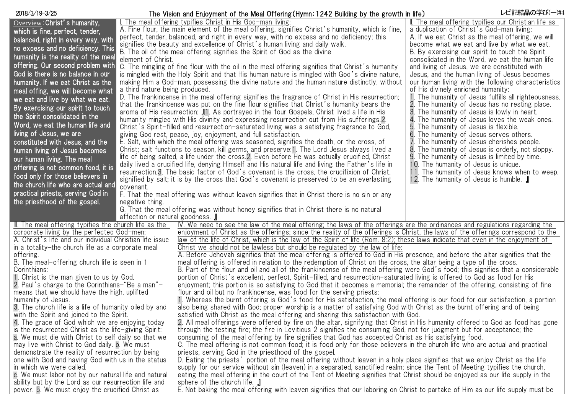## The Vision and Enjoyment of the Meal Offering(Hymn:1242 Building by the growth in life) 2018/3/19-3/25 レビ記結晶の学び(一)#4

|                                                            |                                                                                                                                   | The vicion and Enjoyment of the mean offering (rightle is is ballang by the growth in live)                                                                                                                                                          |                                                                                           |  |
|------------------------------------------------------------|-----------------------------------------------------------------------------------------------------------------------------------|------------------------------------------------------------------------------------------------------------------------------------------------------------------------------------------------------------------------------------------------------|-------------------------------------------------------------------------------------------|--|
| Overview: Christ's humanity,                               |                                                                                                                                   | I. The meal offering typifies Christ in His God-man living:                                                                                                                                                                                          | II. The meal offering typifies our Christian life as                                      |  |
| which is fine, perfect, tender,                            |                                                                                                                                   | A. Fine flour, the main element of the meal offering, signifies Christ's humanity, which is fine,                                                                                                                                                    | a duplication of Christ's God-man living:                                                 |  |
| balanced, right in every way, with                         |                                                                                                                                   | perfect, tender, balanced, and right in every way, with no excess and no deficiency; this                                                                                                                                                            | A. If we eat Christ as the meal offering, we will                                         |  |
| no excess and no deficiency. This                          |                                                                                                                                   | signifies the beauty and excellence of Christ's human living and daily walk.                                                                                                                                                                         | become what we eat and live by what we eat.                                               |  |
| humanity is the reality of the meal                        |                                                                                                                                   | B. The oil of the meal offering signifies the Spirit of God as the divine                                                                                                                                                                            | B. By exercising our spirit to touch the Spirit                                           |  |
| offering. Our second problem with                          | element of Christ.                                                                                                                |                                                                                                                                                                                                                                                      | consolidated in the Word, we eat the human life                                           |  |
| God is there is no balance in our                          |                                                                                                                                   | C. The mingling of fine flour with the oil in the meal offering signifies that Christ's humanity                                                                                                                                                     | and living of Jesus, we are constituted with                                              |  |
|                                                            |                                                                                                                                   | is mingled with the Holy Spirit and that His human nature is mingled with God's divine nature,                                                                                                                                                       | Jesus, and the human living of Jesus becomes                                              |  |
| humanity. If we eat Christ as the                          |                                                                                                                                   | making Him a God-man, possessing the divine nature and the human nature distinctly, without                                                                                                                                                          | our human living with the following characteristics<br>of His divinely enriched humanity: |  |
| meal offing, we will become what                           | a third nature being produced.<br>D. The frankincense in the meal offering signifies the fragrance of Christ in His resurrection; |                                                                                                                                                                                                                                                      | 1. The humanity of Jesus fulfills all righteousness.                                      |  |
| we eat and live by what we eat.                            | that the frankincense was put on the fine flour signifies that Christ's humanity bears the                                        |                                                                                                                                                                                                                                                      | 2. The humanity of Jesus has no resting place.                                            |  |
| By exercising our spirit to touch                          |                                                                                                                                   | aroma of His resurrection: 11. As portrayed in the four Gospels, Christ lived a life in His                                                                                                                                                          | 3. The humanity of Jesus is lowly in heart.                                               |  |
| the Spirit consolidated in the                             | humanity mingled with His divinity and expressing resurrection out from His sufferings. 2.                                        |                                                                                                                                                                                                                                                      | 4. The humanity of Jesus loves the weak ones.                                             |  |
| Word, we eat the human life and                            | Christ's Spirit-filled and resurrection-saturated living was a satisfying fragrance to God,                                       |                                                                                                                                                                                                                                                      | 5. The humanity of Jesus is flexible.                                                     |  |
| living of Jesus, we are                                    | giving God rest, peace, joy, enjoyment, and full satisfaction.                                                                    |                                                                                                                                                                                                                                                      | 6. The humanity of Jesus serves others.                                                   |  |
| constituted with Jesus, and the                            | E. Salt, with which the meal offering was seasoned, signifies the death, or the cross, of                                         |                                                                                                                                                                                                                                                      | 7. The humanity of Jesus cherishes people.                                                |  |
| human living of Jesus becomes                              |                                                                                                                                   | Christ; salt functions to season, kill germs, and preserve: 1. The Lord Jesus always lived a                                                                                                                                                         | 8. The humanity of Jesus is orderly, not sloppy.                                          |  |
| our human living. The meal                                 |                                                                                                                                   | life of being salted, a life under the cross. 2. Even before He was actually crucified, Christ                                                                                                                                                       | 9. The humanity of Jesus is limited by time.                                              |  |
| offering is not common food, it is                         |                                                                                                                                   | daily lived a crucified life, denying Himself and His natural life and living the Father's life in                                                                                                                                                   | 10. The humanity of Jesus is unique.                                                      |  |
|                                                            |                                                                                                                                   | resurrection.3. The basic factor of God's covenant is the cross, the crucifixion of Christ,                                                                                                                                                          | 11. The humanity of Jesus knows when to weep.                                             |  |
| food only for those believers in                           |                                                                                                                                   | signified by salt; it is by the cross that God's covenant is preserved to be an everlasting                                                                                                                                                          | 12. The humanity of Jesus is humble. I                                                    |  |
| the church life who are actual and                         | covenant.                                                                                                                         |                                                                                                                                                                                                                                                      |                                                                                           |  |
| practical priests, serving God in                          | F. That the meal offering was without leaven signifies that in Christ there is no sin or any                                      |                                                                                                                                                                                                                                                      |                                                                                           |  |
| the priesthood of the gospel.                              | negative thing.                                                                                                                   |                                                                                                                                                                                                                                                      |                                                                                           |  |
|                                                            |                                                                                                                                   | G. That the meal offering was without honey signifies that in Christ there is no natural                                                                                                                                                             |                                                                                           |  |
|                                                            | affection or natural goodness.                                                                                                    |                                                                                                                                                                                                                                                      |                                                                                           |  |
| III. The meal offering typifies the church life as the     |                                                                                                                                   | IV. We need to see the law of the meal offering; the laws of the offerings are the ordinances and regulations regarding the                                                                                                                          |                                                                                           |  |
| corporate living by the perfected God-men:                 |                                                                                                                                   | enjoyment of Christ as the offerings; since the reality of the offerings is Christ, the laws of the offerings correspond to the                                                                                                                      |                                                                                           |  |
| A. Christ's life and our individual Christian life issue   |                                                                                                                                   | law of the life of Christ, which is the law of the Spirit of life (Rom. 8:2); these laws indicate that even in the enjoyment of                                                                                                                      |                                                                                           |  |
| in a totality-the church life as a corporate meal          |                                                                                                                                   | Christ we should not be lawless but should be regulated by the law of life:                                                                                                                                                                          |                                                                                           |  |
| offering.<br>B. The meal-offering church life is seen in 1 |                                                                                                                                   | A. Before Jehovah signifies that the meal offering is offered to God in His presence, and before the altar signifies that the<br>meal offering is offered in relation to the redemption of Christ on the cross, the altar being a type of the cross. |                                                                                           |  |
| Corinthians:                                               |                                                                                                                                   | B. Part of the flour and oil and all of the frankincense of the meal offering were God's food; this signifies that a considerable                                                                                                                    |                                                                                           |  |
| 1. Christ is the man given to us by God.                   |                                                                                                                                   | portion of Christ's excellent, perfect, Spirit-filled, and resurrection-saturated living is offered to God as food for His                                                                                                                           |                                                                                           |  |
| 2. Paul's charge to the Corinthians-"Be a man"-            |                                                                                                                                   | enjoyment; this portion is so satisfying to God that it becomes a memorial; the remainder of the offering, consisting of fine                                                                                                                        |                                                                                           |  |
| means that we should have the high, uplifted               |                                                                                                                                   | flour and oil but no frankincense, was food for the serving priests:                                                                                                                                                                                 |                                                                                           |  |
| humanity of Jesus.                                         |                                                                                                                                   | 1. Whereas the burnt offering is God's food for His satisfaction, the meal offering is our food for our satisfaction, a portion                                                                                                                      |                                                                                           |  |
| 3. The church life is a life of humanity oiled by and      |                                                                                                                                   | also being shared with God; proper worship is a matter of satisfying God with Christ as the burnt offering and of being                                                                                                                              |                                                                                           |  |
| with the Spirit and joined to the Spirit.                  |                                                                                                                                   | satisfied with Christ as the meal offering and sharing this satisfaction with God.                                                                                                                                                                   |                                                                                           |  |
| 4. The grace of God which we are enjoying today            |                                                                                                                                   | 2. All meal offerings were offered by fire on the altar, signifying that Christ in His humanity offered to God as food has gone                                                                                                                      |                                                                                           |  |
| is the resurrected Christ as the life-giving Spirit:       |                                                                                                                                   | through the testing fire; the fire in Leviticus 2 signifies the consuming God, not for judgment but for acceptance; the                                                                                                                              |                                                                                           |  |
| a. We must die with Christ to self daily so that we        |                                                                                                                                   | consuming of the meal offering by fire signifies that God has accepted Christ as His satisfying food.                                                                                                                                                |                                                                                           |  |
| may live with Christ to God daily. <b>b.</b> We must       |                                                                                                                                   | C. The meal offering is not common food; it is food only for those believers in the church life who are actual and practical                                                                                                                         |                                                                                           |  |
| demonstrate the reality of resurrection by being           |                                                                                                                                   | priests, serving God in the priesthood of the gospel.                                                                                                                                                                                                |                                                                                           |  |
| one with God and having God with us in the status          |                                                                                                                                   | D. Eating the priests' portion of the meal offering without leaven in a holy place signifies that we enjoy Christ as the life                                                                                                                        |                                                                                           |  |
| in which we were called.                                   |                                                                                                                                   | supply for our service without sin (leaven) in a separated, sanctified realm; since the Tent of Meeting typifies the church,                                                                                                                         |                                                                                           |  |
| c. We must labor not by our natural life and natural       |                                                                                                                                   | eating the meal offering in the court of the Tent of Meeting signifies that Christ should be enjoyed as our life supply in the                                                                                                                       |                                                                                           |  |
| ability but by the Lord as our resurrection life and       |                                                                                                                                   | sphere of the church life. <b>J</b>                                                                                                                                                                                                                  |                                                                                           |  |
| power. 5. We must enjoy the crucified Christ as            |                                                                                                                                   | E. Not baking the meal offering with leaven signifies that our laboring on Christ to partake of Him as our life supply must be                                                                                                                       |                                                                                           |  |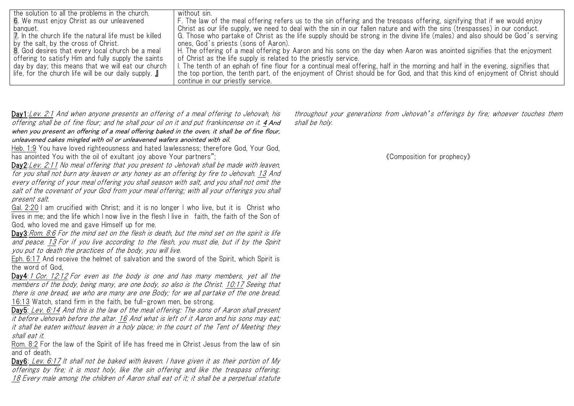| the solution to all the problems in the church.              | without sin.                                                                                                                      |
|--------------------------------------------------------------|-----------------------------------------------------------------------------------------------------------------------------------|
| 6. We must enjoy Christ as our unleavened                    | F. The law of the meal offering refers us to the sin offering and the trespass offering, signifying that if we would enjoy        |
| banquet.                                                     | Christ as our life supply, we need to deal with the sin in our fallen nature and with the sins (trespasses) in our conduct.       |
| 7. In the church life the natural life must be killed        | G. Those who partake of Christ as the life supply should be strong in the divine life (males) and also should be God's serving    |
| by the salt, by the cross of Christ.                         | ones, God's priests (sons of Aaron).                                                                                              |
| 8. God desires that every local church be a meal             | H. The offering of a meal offering by Aaron and his sons on the day when Aaron was anointed signifies that the enjoyment          |
| offering to satisfy Him and fully supply the saints          | of Christ as the life supply is related to the priestly service.                                                                  |
| day by day; this means that we will eat our church           | I. The tenth of an ephah of fine flour for a continual meal offering, half in the morning and half in the evening, signifies that |
| life, for the church life will be our daily supply. <b>J</b> | the top portion, the tenth part, of the enjoyment of Christ should be for God, and that this kind of enjoyment of Christ should   |
|                                                              | continue in our priestly service.                                                                                                 |

Day1:Lev. 2:1 And when anyone presents an offering of a meal offering to Jehovah, his offering shall be of fine flour; and he shall pour oil on it and put frankincense on it. 4 And when you present an offering of a meal offering baked in the oven, it shall be of fine flour, unleavened cakes mingled with oil or unleavened wafers anointed with oil.

Heb. 1:9 You have loved righteousness and hated lawlessness; therefore God, Your God, has anointed You with the oil of exultant joy above Your partners":

Day2: Lev. 2:11 No meal offering that you present to Jehovah shall be made with leaven, for you shall not burn any leaven or any honey as an offering by fire to Jehovah. 13 And every offering of your meal offering you shall season with salt, and you shall not omit the salt of the covenant of your God from your meal offering; with all your offerings you shall present salt.

Gal. 2:20 I am crucified with Christ; and it is no longer I who live, but it is Christ who lives in me; and the life which I now live in the flesh I live in faith, the faith of the Son of God, who loved me and gave Himself up for me.

Day3:Rom. 8:6 For the mind set on the flesh is death, but the mind set on the spirit is life and peace. 13 For if you live according to the flesh, you must die, but if by the Spirit you put to death the practices of the body, you will live.

Eph. 6:17 And receive the helmet of salvation and the sword of the Spirit, which Spirit is the word of God,

Day4:1 Cor. 12:12 For even as the body is one and has many members, yet all the members of the body, being many, are one body, so also is the Christ. 10:17 Seeing that there is one bread, we who are many are one Body; for we all partake of the one bread. 16:13 Watch, stand firm in the faith, be full-grown men, be strong.

Day5: Lev. 6:14 And this is the law of the meal offering: The sons of Aaron shall present it before Jehovah before the altar. 16 And what is left of it Aaron and his sons may eat; it shall be eaten without leaven in a holy place; in the court of the Tent of Meeting they shall eat it.

Rom. 8:2 For the law of the Spirit of life has freed me in Christ Jesus from the law of sin and of death.

Day6: Lev. 6:17 It shall not be baked with leaven. I have given it as their portion of My offerings by fire; it is most holy, like the sin offering and like the trespass offering. 18 Every male among the children of Aaron shall eat of it; it shall be a perpetual statute throughout your generations from Jehovah's offerings by fire; whoever touches them shall be holy.

《Composition for prophecy》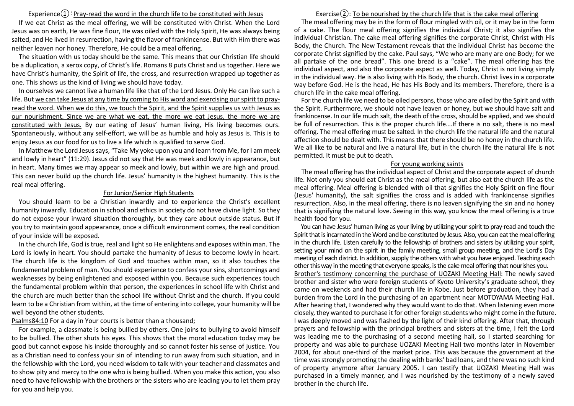### Experience $(1)$ : Pray-read the word in the church life to be constituted with Jesus

If we eat Christ as the meal offering, we will be constituted with Christ. When the Lord Jesus was on earth, He was fine flour, He was oiled with the Holy Spirit, He was always being salted, and He lived in resurrection, having the flavor of frankincense. But with Him there was neither leaven nor honey. Therefore, He could be a meal offering.

The situation with us today should be the same. This means that our Christian life should be a duplication, a xerox copy, of Christ's life. Romans 8 puts Christ and us together. Here we have Christ's humanity, the Spirit of life, the cross, and resurrection wrapped up together as one. This shows us the kind of living we should have today.

In ourselves we cannot live a human life like that of the Lord Jesus. Only He can live such a life. But we can take Jesus at any time by coming to His word and exercising our spirit to prayread the word. When we do this, we touch the Spirit, and the Spirit supplies us with Jesus as our nourishment. Since we are what we eat, the more we eat Jesus, the more we are constituted with Jesus. By our eating of Jesus' human living, His living becomes ours. Spontaneously, without any self-effort, we will be as humble and holy as Jesus is. This is to enjoy Jesus as our food for us to live a life which is qualified to serve God.

In Matthew the Lord Jesus says, "Take My yoke upon you and learn from Me, for I am meek and lowly in heart" (11:29). Jesus did not say that He was meek and lowly in appearance, but in heart. Many times we may appear so meek and lowly, but within we are high and proud. This can never build up the church life. Jesus' humanity is the highest humanity. This is the real meal offering.

#### For Junior/Senior High Students

You should learn to be a Christian inwardly and to experience the Christ's excellent humanity inwardly. Education in school and ethics in society do not have divine light. So they do not expose your inward situation thoroughly, but they care about outside status. But if you try to maintain good appearance, once a difficult environment comes, the real condition of your inside will be exposed.

In the church life, God is true, real and light so He enlightens and exposes within man. The Lord is lowly in heart. You should partake the humanity of Jesus to become lowly in heart. The church life is the kingdom of God and touches within man, so it also touches the fundamental problem of man. You should experience to confess your sins, shortcomings and weaknesses by being enlightened and exposed within you. Because such experiences touch the fundamental problem within that person, the experiences in school life with Christ and the church are much better than the school life without Christ and the church. If you could learn to be a Christian from within, at the time of entering into college, your humanity will be well beyond the other students.

Psalms84:10 For a day in Your courts is better than a thousand;

For example, a classmate is being bullied by others. One joins to bullying to avoid himself to be bullied. The other shuts his eyes. This shows that the moral education today may be good but cannot expose his inside thoroughly and so cannot foster his sense of justice. You as a Christian need to confess your sin of intending to run away from such situation, and in the fellowship with the Lord, you need wisdom to talk with your teacher and classmates and to show pity and mercy to the one who is being bullied. When you make this action, you also need to have fellowship with the brothers or the sisters who are leading you to let them pray for you and help you.

## Exercise $(2)$ : To be nourished by the church life that is the cake meal offering

The meal offering may be in the form of flour mingled with oil, or it may be in the form of a cake. The flour meal offering signifies the individual Christ; it also signifies the individual Christian. The cake meal offering signifies the corporate Christ, Christ with His Body, the Church. The New Testament reveals that the individual Christ has become the corporate Christ signified by the cake. Paul says, "We who are many are one Body; for we all partake of the one bread". This one bread is a "cake". The meal offering has the individual aspect, and also the corporate aspect as well. Today, Christ is not living simply in the individual way. He is also living with His Body, the church. Christ lives in a corporate way before God. He is the head, He has His Body and its members. Therefore, there is a church life in the cake meal offering.

For the church life we need to be oiled persons, those who are oiled by the Spirit and with the Spirit. Furthermore, we should not have leaven or honey, but we should have salt and frankincense. In our life much salt, the death of the cross, should be applied, and we should be full of resurrection. This is the proper church life….If there is no salt, there is no meal offering. The meal offering must be salted. In the church life the natural life and the natural affection should be dealt with. This means that there should be no honey in the church life. We all like to be natural and live a natural life, but in the church life the natural life is not permitted. It must be put to death.

#### For young working saints

The meal offering has the individual aspect of Christ and the corporate aspect of church life. Not only you should eat Christ as the meal offering, but also eat the church life as the meal offering. Meal offering is blended with oil that signifies the Holy Spirit on fine flour (Jesus' humanity), the salt signifies the cross and is added with frankincense signifies resurrection. Also, in the meal offering, there is no leaven signifying the sin and no honey that is signifying the natural love. Seeing in this way, you know the meal offering is a true health food for you.

You can have Jesus' human living as your living by utilizing your spirit to pray-read and touch the Spirit that is incarnated in the Word and be constituted by Jesus. Also, you can eat the meal offering in the church life. Listen carefully to the fellowship of brothers and sisters by utilizing your spirit, setting your mind on the spirit in the family meeting, small group meeting, and the Lord's Day meeting of each district. In addition, supply the others with what you have enjoyed. Teaching each other this way in the meeting that everyone speaks, is the cake meal offering that nourishes you. Brother's testimony concerning the purchase of UOZAKI Meeting Hall: The newly saved brother and sister who were foreign students of Kyoto University's graduate school, they came on weekends and had their church life in Kobe. Just before graduation, they had a burden from the Lord in the purchasing of an apartment near MOTOYAMA Meeting Hall. After hearing that, I wondered why they would want to do that. When listening even more closely, they wanted to purchase it for other foreign students who might come in the future. I was deeply moved and was flashed by the light of their kind offering. After that, through prayers and fellowship with the principal brothers and sisters at the time, I felt the Lord was leading me to the purchasing of a second meeting hall, so I started searching for property and was able to purchase UOZAKI Meeting Hall two months later in November 2004, for about one-third of the market price. This was because the government at the time was strongly promoting the dealing with banks' bad loans, and there was no such kind of property anymore after January 2005. I can testify that UOZAKI Meeting Hall was purchased in a timely manner, and I was nourished by the testimony of a newly saved brother in the church life.